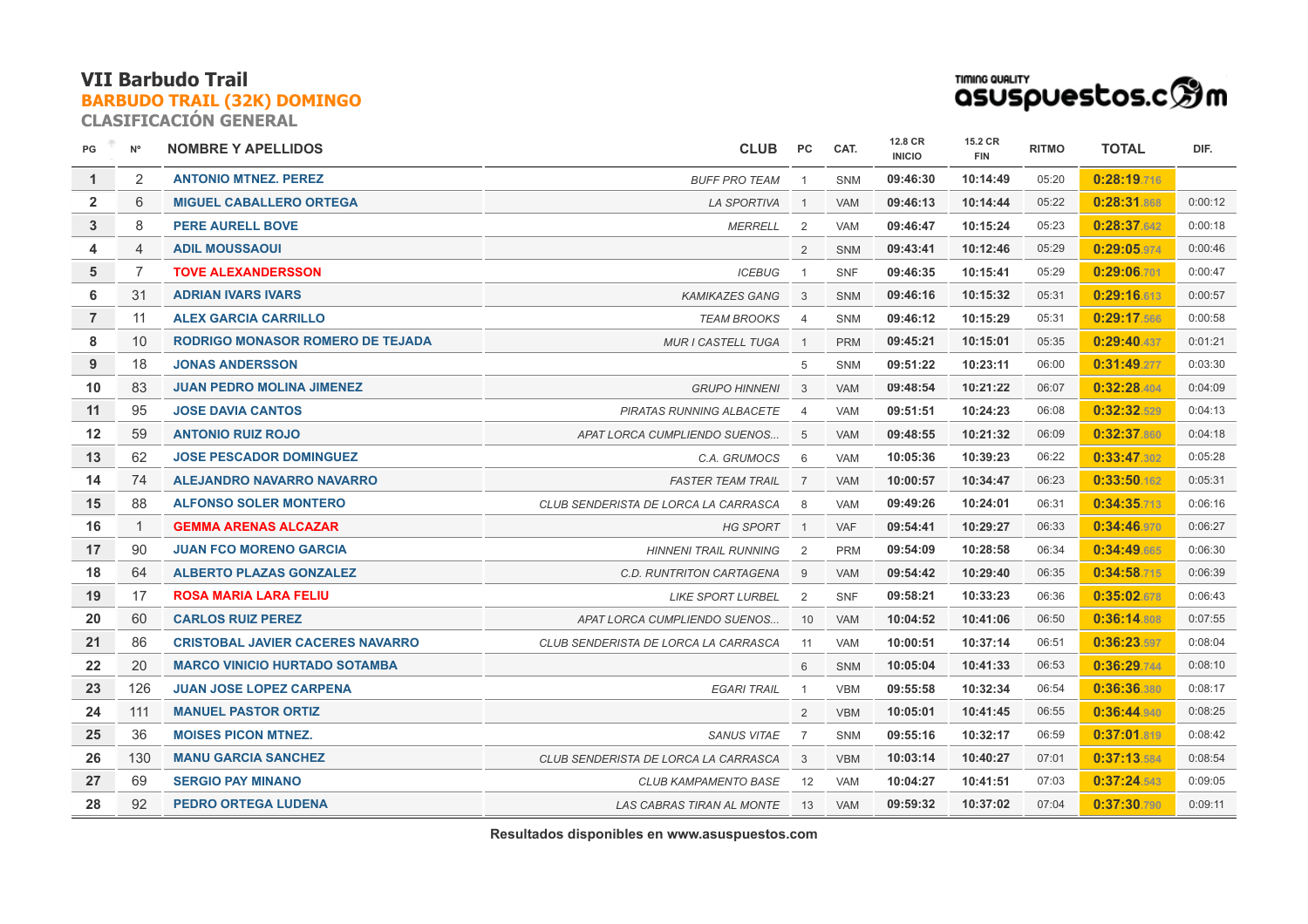**CLASIFICACIÓN GENERAL**



| PG             | $N^{\circ}$    | <b>NOMBRE Y APELLIDOS</b>               | <b>CLUB</b>                          | PC             | CAT.       | 12.8 CR<br><b>INICIO</b> | 15.2 CR<br><b>FIN</b> | <b>RITMO</b> | <b>TOTAL</b> | DIF.    |
|----------------|----------------|-----------------------------------------|--------------------------------------|----------------|------------|--------------------------|-----------------------|--------------|--------------|---------|
| 1              | 2              | <b>ANTONIO MTNEZ, PEREZ</b>             | <b>BUFF PRO TEAM</b>                 | $\overline{1}$ | <b>SNM</b> | 09:46:30                 | 10:14:49              | 05:20        | 0:28:19.716  |         |
| $\overline{2}$ | 6              | <b>MIGUEL CABALLERO ORTEGA</b>          | <b>LA SPORTIVA</b>                   | $\overline{1}$ | <b>VAM</b> | 09:46:13                 | 10:14:44              | 05:22        | 0:28:31.868  | 0:00:12 |
| 3              | 8              | <b>PERE AURELL BOVE</b>                 | <b>MERRELL</b>                       | 2              | <b>VAM</b> | 09:46:47                 | 10:15:24              | 05:23        | 0:28:37.642  | 0:00:18 |
| 4              | $\overline{4}$ | <b>ADIL MOUSSAOUI</b>                   |                                      | 2              | <b>SNM</b> | 09:43:41                 | 10:12:46              | 05:29        | 0:29:05.974  | 0:00:46 |
| 5              | $\overline{7}$ | <b>TOVE ALEXANDERSSON</b>               | <b>ICEBUG</b>                        | $\overline{1}$ | <b>SNF</b> | 09:46:35                 | 10:15:41              | 05:29        | 0:29:06.701  | 0:00:47 |
| 6              | 31             | <b>ADRIAN IVARS IVARS</b>               | <b>KAMIKAZES GANG</b>                | 3              | <b>SNM</b> | 09:46:16                 | 10:15:32              | 05:31        | 0:29:16.613  | 0:00:57 |
| $\overline{7}$ | 11             | <b>ALEX GARCIA CARRILLO</b>             | <b>TEAM BROOKS</b>                   | $\overline{4}$ | <b>SNM</b> | 09:46:12                 | 10:15:29              | 05:31        | 0:29:17.566  | 0:00:58 |
| 8              | 10             | <b>RODRIGO MONASOR ROMERO DE TEJADA</b> | <b>MUR I CASTELL TUGA</b>            | $\overline{1}$ | <b>PRM</b> | 09:45:21                 | 10:15:01              | 05:35        | 0:29:40.437  | 0:01:21 |
| 9              | 18             | <b>JONAS ANDERSSON</b>                  |                                      | 5              | SNM        | 09:51:22                 | 10:23:11              | 06:00        | 0:31:49.277  | 0:03:30 |
| 10             | 83             | <b>JUAN PEDRO MOLINA JIMENEZ</b>        | <b>GRUPO HINNENI</b>                 | 3              | <b>VAM</b> | 09:48:54                 | 10:21:22              | 06:07        | 0:32:28.404  | 0:04:09 |
| 11             | 95             | <b>JOSE DAVIA CANTOS</b>                | PIRATAS RUNNING ALBACETE             | $\overline{4}$ | <b>VAM</b> | 09:51:51                 | 10:24:23              | 06:08        | 0:32:32.529  | 0:04:13 |
| 12             | 59             | <b>ANTONIO RUIZ ROJO</b>                | APAT LORCA CUMPLIENDO SUENOS         | 5              | <b>VAM</b> | 09:48:55                 | 10:21:32              | 06:09        | 0:32:37.860  | 0:04:18 |
| 13             | 62             | <b>JOSE PESCADOR DOMINGUEZ</b>          | C.A. GRUMOCS                         | 6              | <b>VAM</b> | 10:05:36                 | 10:39:23              | 06:22        | 0:33:47.302  | 0:05:28 |
| 14             | 74             | ALEJANDRO NAVARRO NAVARRO               | <b>FASTER TEAM TRAIL</b>             | $\overline{7}$ | <b>VAM</b> | 10:00:57                 | 10:34:47              | 06:23        | 0:33:50.162  | 0:05:31 |
| 15             | 88             | <b>ALFONSO SOLER MONTERO</b>            | CLUB SENDERISTA DE LORCA LA CARRASCA | 8              | <b>VAM</b> | 09:49:26                 | 10:24:01              | 06:31        | 0:34:35.713  | 0:06:16 |
| 16             | $\overline{1}$ | <b>GEMMA ARENAS ALCAZAR</b>             | <b>HG SPORT</b>                      | $\overline{1}$ | <b>VAF</b> | 09:54:41                 | 10:29:27              | 06:33        | 0:34:46.970  | 0:06:27 |
| 17             | 90             | <b>JUAN FCO MORENO GARCIA</b>           | <b>HINNENI TRAIL RUNNING</b>         | 2              | <b>PRM</b> | 09:54:09                 | 10:28:58              | 06:34        | 0:34:49.665  | 0:06:30 |
| 18             | 64             | <b>ALBERTO PLAZAS GONZALEZ</b>          | C.D. RUNTRITON CARTAGENA             | 9              | <b>VAM</b> | 09:54:42                 | 10:29:40              | 06:35        | 0:34:58.715  | 0:06:39 |
| 19             | 17             | <b>ROSA MARIA LARA FELIU</b>            | <b>LIKE SPORT LURBEL</b>             | 2              | <b>SNF</b> | 09:58:21                 | 10:33:23              | 06:36        | 0:35:02.678  | 0:06:43 |
| 20             | 60             | <b>CARLOS RUIZ PEREZ</b>                | APAT LORCA CUMPLIENDO SUENOS         | 10             | VAM        | 10:04:52                 | 10:41:06              | 06:50        | 0:36:14.808  | 0:07:55 |
| 21             | 86             | <b>CRISTOBAL JAVIER CACERES NAVARRO</b> | CLUB SENDERISTA DE LORCA LA CARRASCA | 11             | <b>VAM</b> | 10:00:51                 | 10:37:14              | 06:51        | 0:36:23.597  | 0:08:04 |
| 22             | 20             | <b>MARCO VINICIO HURTADO SOTAMBA</b>    |                                      | 6              | <b>SNM</b> | 10:05:04                 | 10:41:33              | 06:53        | 0:36:29.744  | 0:08:10 |
| 23             | 126            | <b>JUAN JOSE LOPEZ CARPENA</b>          | <b>EGARI TRAIL</b>                   | $\overline{1}$ | <b>VBM</b> | 09:55:58                 | 10:32:34              | 06:54        | 0:36:36.380  | 0:08:17 |
| 24             | 111            | <b>MANUEL PASTOR ORTIZ</b>              |                                      | 2              | <b>VBM</b> | 10:05:01                 | 10:41:45              | 06:55        | 0:36:44.940  | 0:08:25 |
| 25             | 36             | <b>MOISES PICON MTNEZ.</b>              | <b>SANUS VITAE</b>                   | $\overline{7}$ | <b>SNM</b> | 09:55:16                 | 10:32:17              | 06:59        | 0:37:01.819  | 0:08:42 |
| 26             | 130            | <b>MANU GARCIA SANCHEZ</b>              | CLUB SENDERISTA DE LORCA LA CARRASCA | 3              | <b>VBM</b> | 10:03:14                 | 10:40:27              | 07:01        | 0:37:13.584  | 0:08:54 |
| 27             | 69             | <b>SERGIO PAY MINANO</b>                | <b>CLUB KAMPAMENTO BASE</b>          | 12             | <b>VAM</b> | 10:04:27                 | 10:41:51              | 07:03        | 0:37:24.543  | 0:09:05 |
| 28             | 92             | <b>PEDRO ORTEGA LUDENA</b>              | LAS CABRAS TIRAN AL MONTE            | 13             | <b>VAM</b> | 09:59:32                 | 10:37:02              | 07:04        | 0:37:30.790  | 0:09:11 |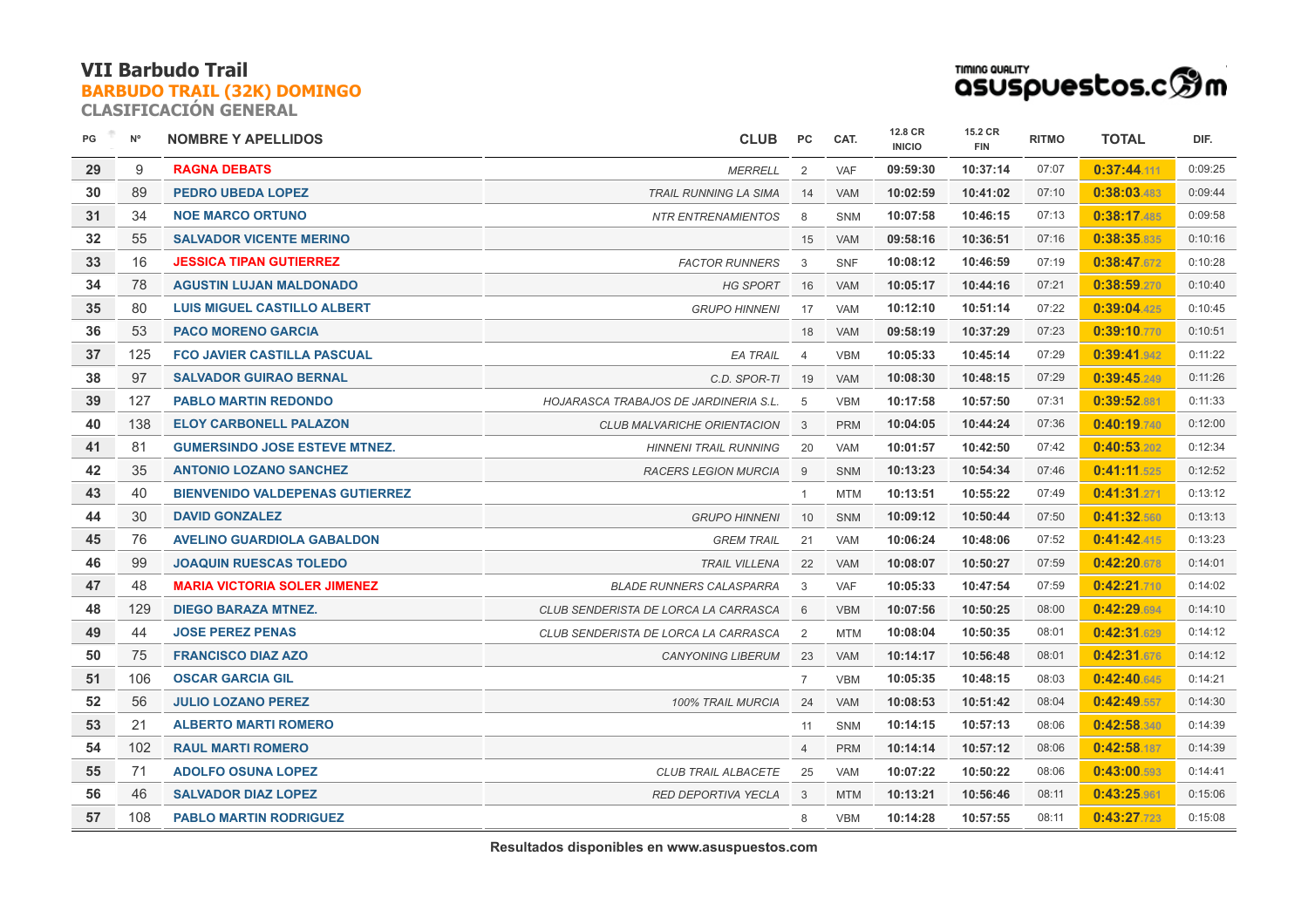**CLASIFICACIÓN GENERAL**



| PG | $N^{\circ}$ | <b>NOMBRE Y APELLIDOS</b>              | <b>CLUB</b>                                  | PC             | CAT.       | 12.8 CR<br><b>INICIO</b> | 15.2 CR<br><b>FIN</b> | <b>RITMO</b> | <b>TOTAL</b> | DIF.    |
|----|-------------|----------------------------------------|----------------------------------------------|----------------|------------|--------------------------|-----------------------|--------------|--------------|---------|
| 29 | 9           | <b>RAGNA DEBATS</b>                    | <b>MERRELL</b>                               | 2              | VAF        | 09:59:30                 | 10:37:14              | 07:07        | 0:37:44.111  | 0:09:25 |
| 30 | 89          | <b>PEDRO UBEDA LOPEZ</b>               | <b>TRAIL RUNNING LA SIMA</b>                 | 14             | <b>VAM</b> | 10:02:59                 | 10:41:02              | 07:10        | 0:38:03.483  | 0:09:44 |
| 31 | 34          | <b>NOE MARCO ORTUNO</b>                | <b>NTR ENTRENAMIENTOS</b>                    | 8              | <b>SNM</b> | 10:07:58                 | 10:46:15              | 07:13        | 0:38:17.485  | 0:09:58 |
| 32 | 55          | <b>SALVADOR VICENTE MERINO</b>         |                                              | 15             | <b>VAM</b> | 09:58:16                 | 10:36:51              | 07:16        | 0:38:35.835  | 0:10:16 |
| 33 | 16          | <b>JESSICA TIPAN GUTIERREZ</b>         | <b>FACTOR RUNNERS</b>                        | 3              | <b>SNF</b> | 10:08:12                 | 10:46:59              | 07:19        | 0:38:47.672  | 0:10:28 |
| 34 | 78          | <b>AGUSTIN LUJAN MALDONADO</b>         | <b>HG SPORT</b>                              | 16             | <b>VAM</b> | 10:05:17                 | 10:44:16              | 07:21        | 0:38:59.270  | 0:10:40 |
| 35 | 80          | <b>LUIS MIGUEL CASTILLO ALBERT</b>     | <b>GRUPO HINNENI</b>                         | 17             | <b>VAM</b> | 10:12:10                 | 10:51:14              | 07:22        | 0:39:04.425  | 0:10:45 |
| 36 | 53          | <b>PACO MORENO GARCIA</b>              |                                              | 18             | <b>VAM</b> | 09:58:19                 | 10:37:29              | 07:23        | 0:39:10.770  | 0:10:51 |
| 37 | 125         | <b>FCO JAVIER CASTILLA PASCUAL</b>     | <b>EA TRAIL</b>                              | $\overline{4}$ | <b>VBM</b> | 10:05:33                 | 10:45:14              | 07:29        | 0:39:41.942  | 0:11:22 |
| 38 | 97          | <b>SALVADOR GUIRAO BERNAL</b>          | C.D. SPOR-TI                                 | 19             | <b>VAM</b> | 10:08:30                 | 10:48:15              | 07:29        | 0:39:45.249  | 0:11:26 |
| 39 | 127         | <b>PABLO MARTIN REDONDO</b>            | <b>HOJARASCA TRABAJOS DE JARDINERIA S.L.</b> | 5              | <b>VBM</b> | 10:17:58                 | 10:57:50              | 07:31        | 0:39:52.881  | 0:11:33 |
| 40 | 138         | <b>ELOY CARBONELL PALAZON</b>          | CLUB MALVARICHE ORIENTACION                  | $\mathbf{3}$   | <b>PRM</b> | 10:04:05                 | 10:44:24              | 07:36        | 0:40:19.740  | 0:12:00 |
| 41 | 81          | <b>GUMERSINDO JOSE ESTEVE MTNEZ.</b>   | <b>HINNENI TRAIL RUNNING</b>                 | 20             | <b>VAM</b> | 10:01:57                 | 10:42:50              | 07:42        | 0:40:53.202  | 0:12:34 |
| 42 | 35          | <b>ANTONIO LOZANO SANCHEZ</b>          | <b>RACERS LEGION MURCIA</b>                  | 9              | <b>SNM</b> | 10:13:23                 | 10:54:34              | 07:46        | 0:41:11.525  | 0:12:52 |
| 43 | 40          | <b>BIENVENIDO VALDEPENAS GUTIERREZ</b> |                                              | 1              | <b>MTM</b> | 10:13:51                 | 10:55:22              | 07:49        | 0:41:31.271  | 0:13:12 |
| 44 | 30          | <b>DAVID GONZALEZ</b>                  | <b>GRUPO HINNENI</b>                         | 10             | <b>SNM</b> | 10:09:12                 | 10:50:44              | 07:50        | 0:41:32.560  | 0:13:13 |
| 45 | 76          | <b>AVELINO GUARDIOLA GABALDON</b>      | <b>GREM TRAIL</b>                            | 21             | <b>VAM</b> | 10:06:24                 | 10:48:06              | 07:52        | 0:41:42.415  | 0:13:23 |
| 46 | 99          | <b>JOAQUIN RUESCAS TOLEDO</b>          | <b>TRAIL VILLENA</b>                         | 22             | <b>VAM</b> | 10:08:07                 | 10:50:27              | 07:59        | 0:42:20.678  | 0:14:01 |
| 47 | 48          | <b>MARIA VICTORIA SOLER JIMENEZ</b>    | <b>BLADE RUNNERS CALASPARRA</b>              | 3              | VAF        | 10:05:33                 | 10:47:54              | 07:59        | 0:42:21.710  | 0:14:02 |
| 48 | 129         | <b>DIEGO BARAZA MTNEZ.</b>             | CLUB SENDERISTA DE LORCA LA CARRASCA         | 6              | <b>VBM</b> | 10:07:56                 | 10:50:25              | 08:00        | 0:42:29.694  | 0:14:10 |
| 49 | 44          | <b>JOSE PEREZ PENAS</b>                | CLUB SENDERISTA DE LORCA LA CARRASCA         | 2              | <b>MTM</b> | 10:08:04                 | 10:50:35              | 08:01        | 0:42:31.629  | 0:14:12 |
| 50 | 75          | <b>FRANCISCO DIAZ AZO</b>              | <b>CANYONING LIBERUM</b>                     | 23             | <b>VAM</b> | 10:14:17                 | 10:56:48              | 08:01        | 0:42:31.676  | 0:14:12 |
| 51 | 106         | <b>OSCAR GARCIA GIL</b>                |                                              | $\overline{7}$ | <b>VBM</b> | 10:05:35                 | 10:48:15              | 08:03        | 0:42:40.645  | 0:14:21 |
| 52 | 56          | <b>JULIO LOZANO PEREZ</b>              | <b>100% TRAIL MURCIA</b>                     | 24             | <b>VAM</b> | 10:08:53                 | 10:51:42              | 08:04        | 0:42:49.557  | 0:14:30 |
| 53 | 21          | <b>ALBERTO MARTI ROMERO</b>            |                                              | 11             | <b>SNM</b> | 10:14:15                 | 10:57:13              | 08:06        | 0:42:58.340  | 0:14:39 |
| 54 | 102         | <b>RAUL MARTI ROMERO</b>               |                                              | $\overline{4}$ | <b>PRM</b> | 10:14:14                 | 10:57:12              | 08:06        | 0:42:58.187  | 0:14:39 |
| 55 | 71          | <b>ADOLFO OSUNA LOPEZ</b>              | <b>CLUB TRAIL ALBACETE</b>                   | 25             | <b>VAM</b> | 10:07:22                 | 10:50:22              | 08:06        | 0:43:00.593  | 0:14:41 |
| 56 | 46          | <b>SALVADOR DIAZ LOPEZ</b>             | <b>RED DEPORTIVA YECLA</b>                   | 3              | <b>MTM</b> | 10:13:21                 | 10:56:46              | 08:11        | 0:43:25.961  | 0:15:06 |
| 57 | 108         | <b>PABLO MARTIN RODRIGUEZ</b>          |                                              | 8              | <b>VBM</b> | 10:14:28                 | 10:57:55              | 08:11        | 0:43:27.723  | 0:15:08 |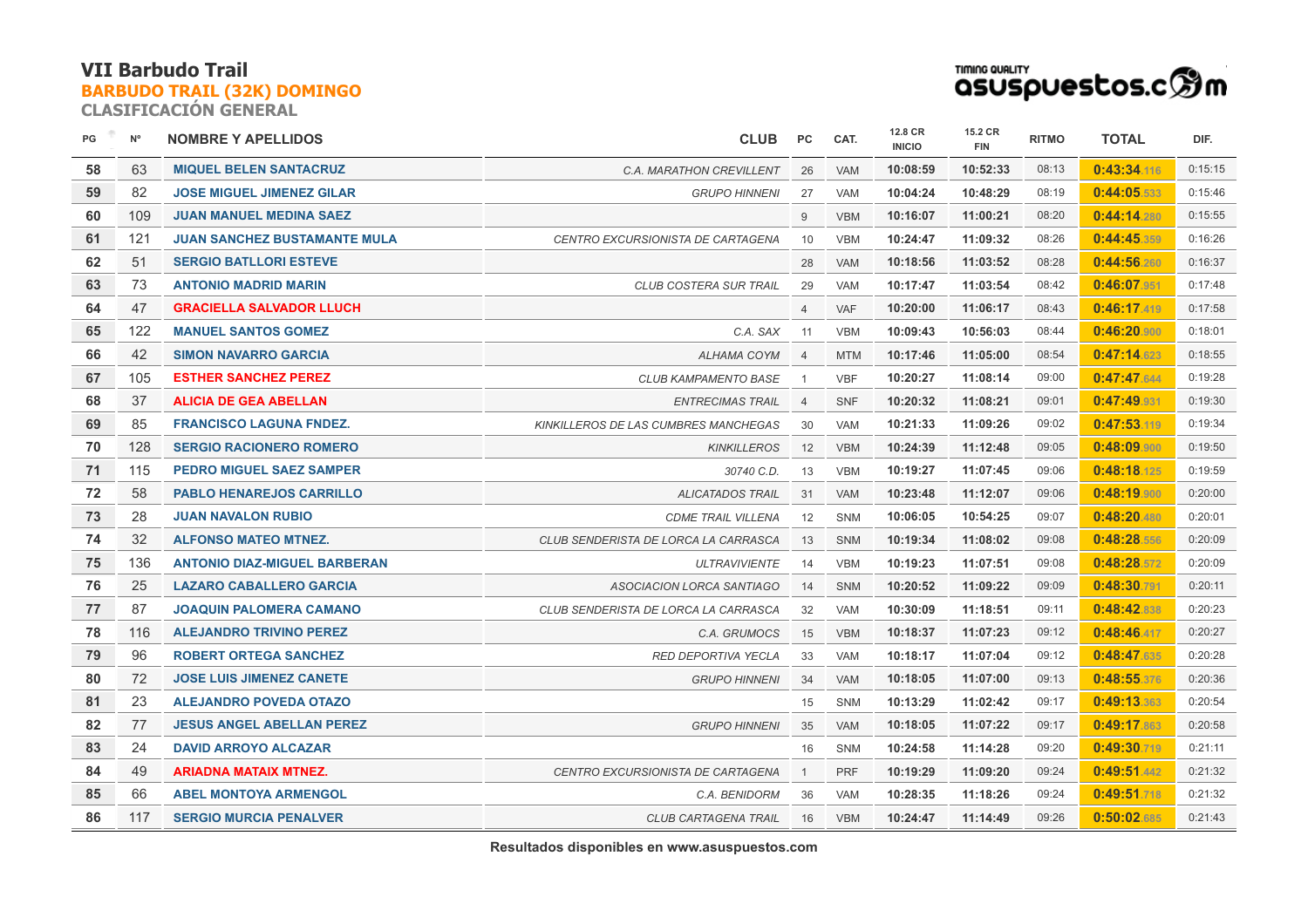**CLASIFICACIÓN GENERAL**



| PG | $N^{\circ}$ | <b>NOMBRE Y APELLIDOS</b>           | <b>CLUB</b>                          | PC             | CAT.       | 12.8 CR<br><b>INICIO</b> | 15.2 CR<br><b>FIN</b> | <b>RITMO</b> | <b>TOTAL</b> | DIF.    |
|----|-------------|-------------------------------------|--------------------------------------|----------------|------------|--------------------------|-----------------------|--------------|--------------|---------|
| 58 | 63          | <b>MIQUEL BELEN SANTACRUZ</b>       | C.A. MARATHON CREVILLENT             | 26             | <b>VAM</b> | 10:08:59                 | 10:52:33              | 08:13        | 0:43:34.116  | 0:15:15 |
| 59 | 82          | <b>JOSE MIGUEL JIMENEZ GILAR</b>    | <b>GRUPO HINNENI</b>                 | 27             | <b>VAM</b> | 10:04:24                 | 10:48:29              | 08:19        | 0:44:05.533  | 0:15:46 |
| 60 | 109         | <b>JUAN MANUEL MEDINA SAEZ</b>      |                                      | 9              | <b>VBM</b> | 10:16:07                 | 11:00:21              | 08:20        | 0:44:14.280  | 0:15:55 |
| 61 | 121         | <b>JUAN SANCHEZ BUSTAMANTE MULA</b> | CENTRO EXCURSIONISTA DE CARTAGENA    | 10             | <b>VBM</b> | 10:24:47                 | 11:09:32              | 08:26        | 0:44:45.359  | 0:16:26 |
| 62 | 51          | <b>SERGIO BATLLORI ESTEVE</b>       |                                      | 28             | <b>VAM</b> | 10:18:56                 | 11:03:52              | 08:28        | 0:44:56.260  | 0:16:37 |
| 63 | 73          | <b>ANTONIO MADRID MARIN</b>         | <b>CLUB COSTERA SUR TRAIL</b>        | 29             | <b>VAM</b> | 10:17:47                 | 11:03:54              | 08:42        | 0:46:07.951  | 0:17:48 |
| 64 | 47          | <b>GRACIELLA SALVADOR LLUCH</b>     |                                      | $\overline{4}$ | <b>VAF</b> | 10:20:00                 | 11:06:17              | 08:43        | 0:46:17.419  | 0:17:58 |
| 65 | 122         | <b>MANUEL SANTOS GOMEZ</b>          | C.A. SAX                             | 11             | <b>VBM</b> | 10:09:43                 | 10:56:03              | 08:44        | 0:46:20.900  | 0:18:01 |
| 66 | 42          | <b>SIMON NAVARRO GARCIA</b>         | <b>ALHAMA COYM</b>                   | $\overline{4}$ | <b>MTM</b> | 10:17:46                 | 11:05:00              | 08:54        | 0:47:14.623  | 0:18:55 |
| 67 | 105         | <b>ESTHER SANCHEZ PEREZ</b>         | <b>CLUB KAMPAMENTO BASE</b>          | $\overline{1}$ | <b>VBF</b> | 10:20:27                 | 11:08:14              | 09:00        | 0:47:47.644  | 0:19:28 |
| 68 | 37          | <b>ALICIA DE GEA ABELLAN</b>        | <b>ENTRECIMAS TRAIL</b>              | $\overline{4}$ | <b>SNF</b> | 10:20:32                 | 11:08:21              | 09:01        | 0:47:49.931  | 0:19:30 |
| 69 | 85          | <b>FRANCISCO LAGUNA FNDEZ.</b>      | KINKILLEROS DE LAS CUMBRES MANCHEGAS | 30             | <b>VAM</b> | 10:21:33                 | 11:09:26              | 09:02        | 0:47:53.119  | 0:19:34 |
| 70 | 128         | <b>SERGIO RACIONERO ROMERO</b>      | <b>KINKILLEROS</b>                   | 12             | <b>VBM</b> | 10:24:39                 | 11:12:48              | 09:05        | 0:48:09.900  | 0:19:50 |
| 71 | 115         | <b>PEDRO MIGUEL SAEZ SAMPER</b>     | 30740 C.D.                           | 13             | <b>VBM</b> | 10:19:27                 | 11:07:45              | 09:06        | 0:48:18.125  | 0:19:59 |
| 72 | 58          | <b>PABLO HENAREJOS CARRILLO</b>     | <b>ALICATADOS TRAIL</b>              | 31             | <b>VAM</b> | 10:23:48                 | 11:12:07              | 09:06        | 0:48:19.900  | 0:20:00 |
| 73 | 28          | <b>JUAN NAVALON RUBIO</b>           | <b>CDME TRAIL VILLENA</b>            | 12             | SNM        | 10:06:05                 | 10:54:25              | 09:07        | 0:48:20.480  | 0:20:01 |
| 74 | 32          | <b>ALFONSO MATEO MTNEZ.</b>         | CLUB SENDERISTA DE LORCA LA CARRASCA | 13             | <b>SNM</b> | 10:19:34                 | 11:08:02              | 09:08        | 0:48:28.556  | 0:20:09 |
| 75 | 136         | <b>ANTONIO DIAZ-MIGUEL BARBERAN</b> | <b>ULTRAVIVIENTE</b>                 | 14             | <b>VBM</b> | 10:19:23                 | 11:07:51              | 09:08        | 0:48:28.572  | 0:20:09 |
| 76 | 25          | <b>LAZARO CABALLERO GARCIA</b>      | ASOCIACION LORCA SANTIAGO            | 14             | <b>SNM</b> | 10:20:52                 | 11:09:22              | 09:09        | 0:48:30.791  | 0:20:11 |
| 77 | 87          | <b>JOAQUIN PALOMERA CAMANO</b>      | CLUB SENDERISTA DE LORCA LA CARRASCA | 32             | <b>VAM</b> | 10:30:09                 | 11:18:51              | 09:11        | 0:48:42.838  | 0:20:23 |
| 78 | 116         | <b>ALEJANDRO TRIVINO PEREZ</b>      | C.A. GRUMOCS                         | 15             | <b>VBM</b> | 10:18:37                 | 11:07:23              | 09:12        | 0:48:46.417  | 0:20:27 |
| 79 | 96          | <b>ROBERT ORTEGA SANCHEZ</b>        | <b>RED DEPORTIVA YECLA</b>           | 33             | <b>VAM</b> | 10:18:17                 | 11:07:04              | 09:12        | 0:48:47.635  | 0:20:28 |
| 80 | 72          | <b>JOSE LUIS JIMENEZ CANETE</b>     | <b>GRUPO HINNENI</b>                 | 34             | <b>VAM</b> | 10:18:05                 | 11:07:00              | 09:13        | 0:48:55.376  | 0:20:36 |
| 81 | 23          | <b>ALEJANDRO POVEDA OTAZO</b>       |                                      | 15             | <b>SNM</b> | 10:13:29                 | 11:02:42              | 09:17        | 0:49:13.363  | 0:20:54 |
| 82 | 77          | <b>JESUS ANGEL ABELLAN PEREZ</b>    | <b>GRUPO HINNENI</b>                 | 35             | <b>VAM</b> | 10:18:05                 | 11:07:22              | 09:17        | 0:49:17.863  | 0:20:58 |
| 83 | 24          | <b>DAVID ARROYO ALCAZAR</b>         |                                      | 16             | SNM        | 10:24:58                 | 11:14:28              | 09:20        | 0:49:30.719  | 0:21:11 |
| 84 | 49          | <b>ARIADNA MATAIX MTNEZ.</b>        | CENTRO EXCURSIONISTA DE CARTAGENA    | $\overline{1}$ | <b>PRF</b> | 10:19:29                 | 11:09:20              | 09:24        | 0:49:51.442  | 0:21:32 |
| 85 | 66          | <b>ABEL MONTOYA ARMENGOL</b>        | C.A. BENIDORM                        | 36             | <b>VAM</b> | 10:28:35                 | 11:18:26              | 09:24        | 0:49:51.718  | 0:21:32 |
| 86 | 117         | <b>SERGIO MURCIA PENALVER</b>       | <b>CLUB CARTAGENA TRAIL</b>          | 16             | <b>VBM</b> | 10:24:47                 | 11:14:49              | 09:26        | 0:50:02.685  | 0:21:43 |